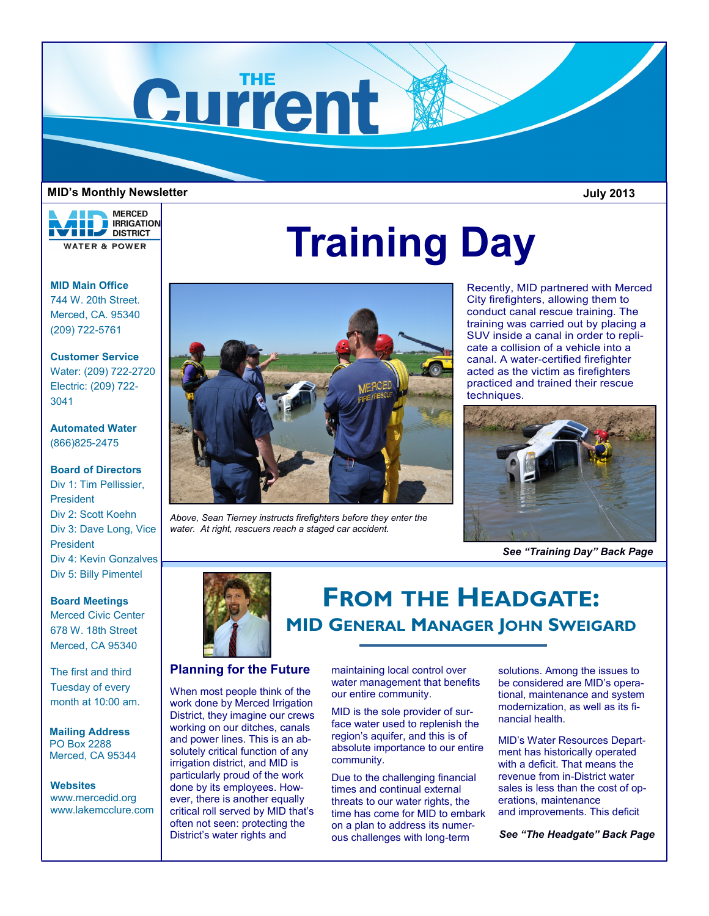

#### **MID's Monthly Newsletter**

**MERCED RRIGATION VELL** DISTRICT **WATER & POWER** 

# **Training Day**

**MID Main Office** 744 W. 20th Street. Merced, CA. 95340 (209) 722-5761

### **Customer Service**

Water: (209) 722-2720 Electric: (209) 722- 3041

**Automated Water** (866)825-2475

### **Board of Directors**

Div 1: Tim Pellissier, President Div 2: Scott Koehn Div 3: Dave Long, Vice President Div 4: Kevin Gonzalves Div 5: Billy Pimentel

### **Board Meetings**

Merced Civic Center 678 W. 18th Street Merced, CA 95340

The first and third Tuesday of every month at 10:00 am.

**Mailing Address** PO Box 2288 Merced, CA 95344

**Websites** www.mercedid.org www.lakemcclure.com



*Above, Sean Tierney instructs firefighters before they enter the water. At right, rescuers reach a staged car accident.*

Recently, MID partnered with Merced City firefighters, allowing them to conduct canal rescue training. The training was carried out by placing a SUV inside a canal in order to replicate a collision of a vehicle into a canal. A water-certified firefighter acted as the victim as firefighters practiced and trained their rescue techniques.

**July 2013**



*See "Training Day" Back Page*



## **FROM THE HEADGATE: MID GENERAL MANAGER JOHN SWEIGARD**

### **Planning for the Future**

When most people think of the work done by Merced Irrigation District, they imagine our crews working on our ditches, canals and power lines. This is an absolutely critical function of any irrigation district, and MID is particularly proud of the work done by its employees. However, there is another equally critical roll served by MID that's often not seen: protecting the

maintaining local control over water management that benefits our entire community.

MID is the sole provider of surface water used to replenish the region's aquifer, and this is of absolute importance to our entire community.

Due to the challenging financial times and continual external threats to our water rights, the time has come for MID to embark on a plan to address its numerous challenges with long-term

solutions. Among the issues to be considered are MID's operational, maintenance and system modernization, as well as its financial health.

MID's Water Resources Department has historically operated with a deficit. That means the revenue from in-District water sales is less than the cost of operations, maintenance and improvements. This deficit

District's water rights and *See "The Headgate" Back Page*